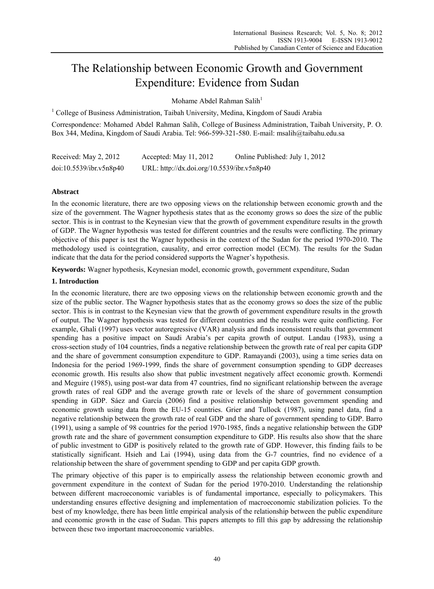# The Relationship between Economic Growth and Government Expenditure: Evidence from Sudan

Mohame Abdel Rahman Salih<sup>1</sup>

<sup>1</sup> College of Business Administration, Taibah University, Medina, Kingdom of Saudi Arabia

Correspondence: Mohamed Abdel Rahman Salih, College of Business Administration, Taibah University, P. O. Box 344, Medina, Kingdom of Saudi Arabia. Tel: 966-599-321-580. E-mail: msalih@taibahu.edu.sa

| Received: May 2, 2012   | Accepted: May 11, 2012                     | Online Published: July 1, 2012 |
|-------------------------|--------------------------------------------|--------------------------------|
| doi:10.5539/ibr.v5n8p40 | URL: http://dx.doi.org/10.5539/ibr.v5n8p40 |                                |

# **Abstract**

In the economic literature, there are two opposing views on the relationship between economic growth and the size of the government. The Wagner hypothesis states that as the economy grows so does the size of the public sector. This is in contrast to the Keynesian view that the growth of government expenditure results in the growth of GDP. The Wagner hypothesis was tested for different countries and the results were conflicting. The primary objective of this paper is test the Wagner hypothesis in the context of the Sudan for the period 1970-2010. The methodology used is cointegration, causality, and error correction model (ECM). The results for the Sudan indicate that the data for the period considered supports the Wagner's hypothesis.

**Keywords:** Wagner hypothesis, Keynesian model, economic growth, government expenditure, Sudan

## **1. Introduction**

In the economic literature, there are two opposing views on the relationship between economic growth and the size of the public sector. The Wagner hypothesis states that as the economy grows so does the size of the public sector. This is in contrast to the Keynesian view that the growth of government expenditure results in the growth of output. The Wagner hypothesis was tested for different countries and the results were quite conflicting. For example, Ghali (1997) uses vector autoregressive (VAR) analysis and finds inconsistent results that government spending has a positive impact on Saudi Arabia's per capita growth of output. Landau (1983), using a cross-section study of 104 countries, finds a negative relationship between the growth rate of real per capita GDP and the share of government consumption expenditure to GDP. Ramayandi (2003), using a time series data on Indonesia for the period 1969-1999, finds the share of government consumption spending to GDP decreases economic growth. His results also show that public investment negatively affect economic growth. Kormendi and Meguire (1985), using post-war data from 47 countries, find no significant relationship between the average growth rates of real GDP and the average growth rate or levels of the share of government consumption spending in GDP. Sáez and García (2006) find a positive relationship between government spending and economic growth using data from the EU-15 countries. Grier and Tullock (1987), using panel data, find a negative relationship between the growth rate of real GDP and the share of government spending to GDP. Barro (1991), using a sample of 98 countries for the period 1970-1985, finds a negative relationship between the GDP growth rate and the share of government consumption expenditure to GDP. His results also show that the share of public investment to GDP is positively related to the growth rate of GDP. However, this finding fails to be statistically significant. Hsieh and Lai (1994), using data from the G-7 countries, find no evidence of a relationship between the share of government spending to GDP and per capita GDP growth.

The primary objective of this paper is to empirically assess the relationship between economic growth and government expenditure in the context of Sudan for the period 1970-2010. Understanding the relationship between different macroeconomic variables is of fundamental importance, especially to policymakers. This understanding ensures effective designing and implementation of macroeconomic stabilization policies. To the best of my knowledge, there has been little empirical analysis of the relationship between the public expenditure and economic growth in the case of Sudan. This papers attempts to fill this gap by addressing the relationship between these two important macroeconomic variables.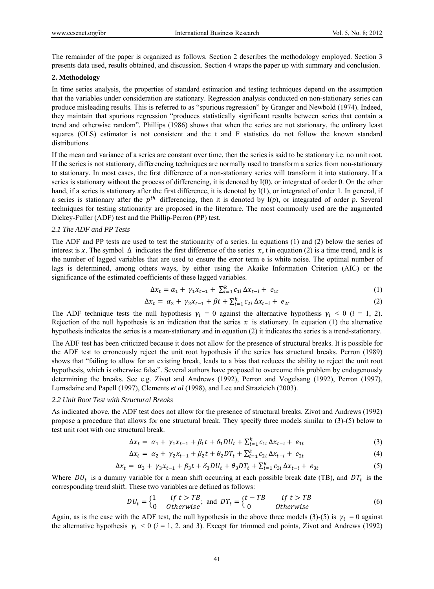The remainder of the paper is organized as follows. Section 2 describes the methodology employed. Section 3 presents data used, results obtained, and discussion. Section 4 wraps the paper up with summary and conclusion.

## **2. Methodology**

In time series analysis, the properties of standard estimation and testing techniques depend on the assumption that the variables under consideration are stationary. Regression analysis conducted on non-stationary series can produce misleading results. This is referred to as "spurious regression" by Granger and Newbold (1974). Indeed, they maintain that spurious regression "produces statistically significant results between series that contain a trend and otherwise random". Phillips (1986) shows that when the series are not stationary, the ordinary least squares (OLS) estimator is not consistent and the t and F statistics do not follow the known standard distributions.

If the mean and variance of a series are constant over time, then the series is said to be stationary i.e. no unit root. If the series is not stationary, differencing techniques are normally used to transform a series from non-stationary to stationary. In most cases, the first difference of a non-stationary series will transform it into stationary. If a series is stationary without the process of differencing, it is denoted by I(0), or integrated of order 0. On the other hand, if a series is stationary after the first difference, it is denoted by I(1), or integrated of order 1. In general, if a series is stationary after the  $p^{th}$  differencing, then it is denoted by  $I(p)$ , or integrated of order p. Several techniques for testing stationarity are proposed in the literature. The most commonly used are the augmented Dickey-Fuller (ADF) test and the Phillip-Perron (PP) test.

#### *2.1 The ADF and PP Tests*

The ADF and PP tests are used to test the stationarity of a series. In equations (1) and (2) below the series of interest is x. The symbol  $\Delta$  indicates the first difference of the series x, t in equation (2) is a time trend, and k is the number of lagged variables that are used to ensure the error term e is white noise. The optimal number of lags is determined, among others ways, by either using the Akaike Information Criterion (AIC) or the significance of the estimated coefficients of these lagged variables.

$$
\Delta x_t = \alpha_1 + \gamma_1 x_{t-1} + \sum_{i=1}^k c_{1i} \Delta x_{t-i} + e_{1t} \tag{1}
$$

$$
\Delta x_t = \alpha_2 + \gamma_2 x_{t-1} + \beta t + \sum_{i=1}^k c_{2i} \Delta x_{t-i} + e_{2t}
$$
 (2)

The ADF technique tests the null hypothesis  $\gamma_i = 0$  against the alternative hypothesis  $\gamma_i < 0$  (*i* = 1, 2). Rejection of the null hypothesis is an indication that the series  $x$  is stationary. In equation (1) the alternative hypothesis indicates the series is a mean-stationary and in equation (2) it indicates the series is a trend-stationary.

The ADF test has been criticized because it does not allow for the presence of structural breaks. It is possible for the ADF test to erroneously reject the unit root hypothesis if the series has structural breaks. Perron (1989) shows that "failing to allow for an existing break, leads to a bias that reduces the ability to reject the unit root hypothesis, which is otherwise false". Several authors have proposed to overcome this problem by endogenously determining the breaks. See e.g. Zivot and Andrews (1992), Perron and Vogelsang (1992), Perron (1997), Lumsdaine and Papell (1997), Clements *et al* (1998), and Lee and Strazicich (2003).

#### *2.2 Unit Root Test with Structural Breaks*

As indicated above, the ADF test does not allow for the presence of structural breaks. Zivot and Andrews (1992) propose a procedure that allows for one structural break. They specify three models similar to (3)-(5) below to test unit root with one structural break.

$$
\Delta x_t = \alpha_1 + \gamma_1 x_{t-1} + \beta_1 t + \delta_1 D U_t + \sum_{i=1}^k c_{1i} \Delta x_{t-i} + e_{1t} \tag{3}
$$

$$
\Delta x_t = \alpha_2 + \gamma_2 x_{t-1} + \beta_2 t + \theta_2 D T_t + \sum_{i=1}^k c_{2i} \Delta x_{t-i} + e_{2t}
$$
\n(4)

$$
\Delta x_t = \alpha_3 + \gamma_3 x_{t-1} + \beta_3 t + \delta_3 D U_t + \theta_3 D T_t + \sum_{i=1}^k c_{3i} \Delta x_{t-i} + e_{3t} \tag{5}
$$

Where  $DU_t$  is a dummy variable for a mean shift occurring at each possible break date (TB), and  $DT_t$  is the corresponding trend shift. These two variables are defined as follows:

$$
DU_t = \begin{cases} 1 & \text{if } t > TB \\ 0 & \text{otherwise} \end{cases} \text{ and } DT_t = \begin{cases} t - TB & \text{if } t > TB \\ 0 & \text{Otherwise} \end{cases} \tag{6}
$$

Again, as is the case with the ADF test, the null hypothesis in the above three models (3)-(5) is  $\gamma_i = 0$  against the alternative hypothesis  $\gamma_i$  < 0 ( $i$  = 1, 2, and 3). Except for trimmed end points, Zivot and Andrews (1992)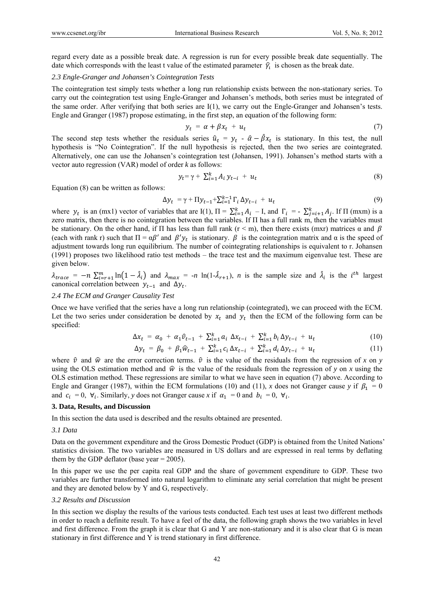regard every date as a possible break date. A regression is run for every possible break date sequentially. The date which corresponds with the least t value of the estimated parameter  $\hat{y}$  is chosen as the break date.

## *2.3 Engle-Granger and Johansen's Cointegration Tests*

The cointegration test simply tests whether a long run relationship exists between the non-stationary series. To carry out the cointegration test using Engle-Granger and Johansen's methods, both series must be integrated of the same order. After verifying that both series are I(1), we carry out the Engle-Granger and Johansen's tests. Engle and Granger (1987) propose estimating, in the first step, an equation of the following form:

$$
y_t = \alpha + \beta x_t + u_t \tag{7}
$$

The second step tests whether the residuals series  $\hat{u}_t = y_t - \hat{\alpha} - \hat{\beta} x_t$  is stationary. In this test, the null hypothesis is "No Cointegration". If the null hypothesis is rejected, then the two series are cointegrated. Alternatively, one can use the Johansen's cointegration test (Johansen, 1991). Johansen's method starts with a vector auto regression (VAR) model of order *k* as follows:

$$
y_t = \gamma + \sum_{i=1}^k A_i y_{t-i} + u_t \tag{8}
$$

Equation (8) can be written as follows:

$$
\Delta y_t = \gamma + \Pi y_{t-1} + \sum_{i=1}^{k-1} \Gamma_i \, \Delta y_{t-i} + u_t \tag{9}
$$

where  $y_t$  is an (mx1) vector of variables that are I(1),  $\Pi = \sum_{i=1}^{k} A_i - I$ , and  $\Gamma_i = -\sum_{j=i+1}^{k} A_j$ . If  $\Pi$  (mxm) is a zero matrix, then there is no cointegration between the variables. If П has a full rank m, then the variables must be stationary. On the other hand, if  $\Pi$  has less than full rank ( $r < m$ ), then there exists (mxr) matrices  $\alpha$  and  $\beta$ (each with rank r) such that  $\Pi = \alpha \beta'$  and  $\beta' y_t$  is stationary.  $\beta$  is the cointegration matrix and  $\alpha$  is the speed of adjustment towards long run equilibrium. The number of cointegrating relationships is equivalent to r. Johansen (1991) proposes two likelihood ratio test methods – the trace test and the maximum eigenvalue test. These are given below.

 $\lambda_{trace} = -n \sum_{i=r+1}^{m} \ln(1-\hat{\lambda}_i)$  and  $\lambda_{max} = -n \ln(1-\hat{\lambda}_{r+1})$ , *n* is the sample size and  $\hat{\lambda}_i$  is the *i*<sup>th</sup> largest canonical correlation between  $y_{t-1}$  and  $\Delta y_t$ .

#### *2.4 The ECM and Granger Causality Test*

Once we have verified that the series have a long run relationship (cointegrated), we can proceed with the ECM. Let the two series under consideration be denoted by  $x_t$  and  $y_t$  then the ECM of the following form can be specified:

$$
\Delta x_t = \alpha_0 + \alpha_1 \hat{v}_{t-1} + \sum_{i=1}^k a_i \Delta x_{t-i} + \sum_{i=1}^k b_i \Delta y_{t-i} + u_t
$$
 (10)

$$
\Delta y_t = \beta_0 + \beta_1 \hat{w}_{t-1} + \sum_{i=1}^k c_i \Delta x_{t-i} + \sum_{i=1}^k d_i \Delta y_{t-i} + u_t \tag{11}
$$

where  $\hat{v}$  and  $\hat{w}$  are the error correction terms.  $\hat{v}$  is the value of the residuals from the regression of *x* on *y* using the OLS estimation method and  $\hat{w}$  is the value of the residuals from the regression of *y* on *x* using the OLS estimation method. These regressions are similar to what we have seen in equation (7) above. According to Engle and Granger (1987), within the ECM formulations (10) and (11), *x* does not Granger cause *y* if  $\beta_1 = 0$ and  $c_i = 0$ ,  $\forall i$ . Similarly, *y* does not Granger cause *x* if  $\alpha_1 = 0$  and  $b_i = 0$ ,  $\forall i$ .

## **3. Data, Results, and Discussion**

In this section the data used is described and the results obtained are presented.

## *3.1 Data*

Data on the government expenditure and the Gross Domestic Product (GDP) is obtained from the United Nations' statistics division. The two variables are measured in US dollars and are expressed in real terms by deflating them by the GDP deflator (base year = 2005).

In this paper we use the per capita real GDP and the share of government expenditure to GDP. These two variables are further transformed into natural logarithm to eliminate any serial correlation that might be present and they are denoted below by Y and G, respectively.

#### *3.2 Results and Discussion*

In this section we display the results of the various tests conducted. Each test uses at least two different methods in order to reach a definite result. To have a feel of the data, the following graph shows the two variables in level and first difference. From the graph it is clear that G and Y are non-stationary and it is also clear that G is mean stationary in first difference and Y is trend stationary in first difference.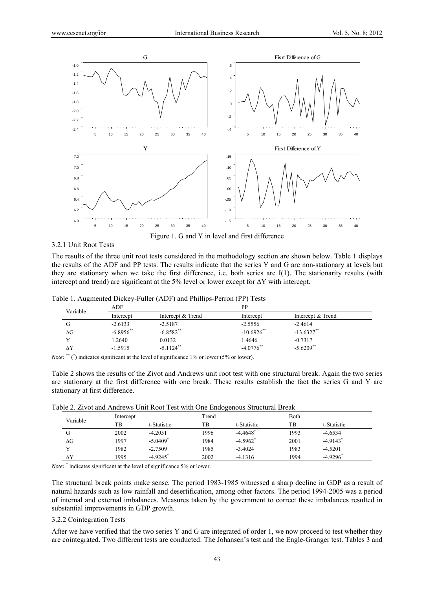

Figure 1. G and Y in level and first difference

## 3.2.1 Unit Root Tests

The results of the three unit root tests considered in the methodology section are shown below. Table 1 displays the results of the ADF and PP tests. The results indicate that the series Y and G are non-stationary at levels but they are stationary when we take the first difference, i.e. both series are I(1). The stationarity results (with intercept and trend) are significant at the 5% level or lower except for ∆Y with intercept.

| Table 1. Augmented Dickey-Fuller (ADF) and Phillips-Perron (PP) Tests |  |  |  |
|-----------------------------------------------------------------------|--|--|--|
|-----------------------------------------------------------------------|--|--|--|

|              | ADF          |                         |               | <b>PP</b>         |  |
|--------------|--------------|-------------------------|---------------|-------------------|--|
| Variable     | Intercept    | Intercept & Trend       | Intercept     | Intercept & Trend |  |
| G            | $-2.6133$    | $-2.5187$               | $-2.5556$     | $-2.4614$         |  |
| ΔG           | $-6.8956$ ** | $-6.8582**$             | $-10.6926$ ** | $-13.6327$ **     |  |
| $\mathbf{v}$ | .2640        | 0.0132                  | 1.4646        | $-0.7317$         |  |
| $\Delta Y$   | $-1.5915$    | $-5.1124$ <sup>**</sup> | $-4.0776$ **  | $-5.6209**$       |  |

*Note:* \*\* (\*) indicates significant at the level of significance 1% or lower (5% or lower).

Table 2 shows the results of the Zivot and Andrews unit root test with one structural break. Again the two series are stationary at the first difference with one break. These results establish the fact the series G and Y are stationary at first difference.

Table 2. Zivot and Andrews Unit Root Test with One Endogenous Structural Break

|            | Intercept |                        |      | Trend                  |      | <b>Both</b>            |  |
|------------|-----------|------------------------|------|------------------------|------|------------------------|--|
| Variable   | TВ        | t-Statistic            | TB   | t-Statistic            | TB   | t-Statistic            |  |
| G          | 2002      | $-4.2051$              | 1996 | $-4.4648$ <sup>*</sup> | 1993 | $-4.6534$              |  |
| $\Delta G$ | 1997      | $-5.0409$ <sup>*</sup> | 1984 | $-4.5962$ <sup>*</sup> | 2001 | $-4.9143$ <sup>*</sup> |  |
|            | 1982      | $-2.7509$              | 1985 | $-3.4024$              | 1983 | $-4.5201$              |  |
| ΔY         | 1995      | $-4.9245$ <sup>*</sup> | 2002 | $-4.1316$              | 1994 | $-4.9296$ <sup>*</sup> |  |

Note: <sup>\*</sup> indicates significant at the level of significance 5% or lower.

The structural break points make sense. The period 1983-1985 witnessed a sharp decline in GDP as a result of natural hazards such as low rainfall and desertification, among other factors. The period 1994-2005 was a period of internal and external imbalances. Measures taken by the government to correct these imbalances resulted in substantial improvements in GDP growth.

#### 3.2.2 Cointegration Tests

After we have verified that the two series Y and G are integrated of order 1, we now proceed to test whether they are cointegrated. Two different tests are conducted: The Johansen's test and the Engle-Granger test. Tables 3 and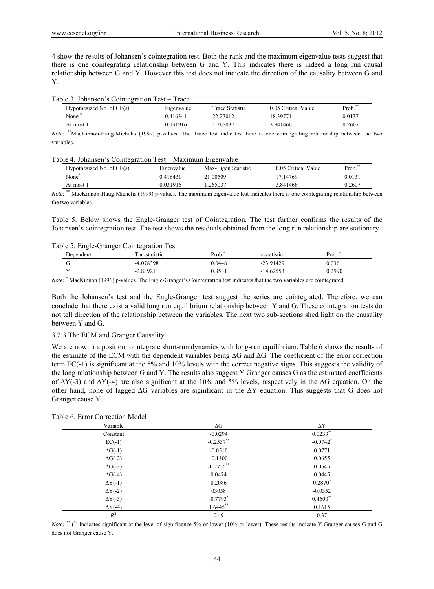4 show the results of Johansen's cointegration test. Both the rank and the maximum eigenvalue tests suggest that there is one cointegrating relationship between G and Y. This indicates there is indeed a long run causal relationship between G and Y. However this test does not indicate the direction of the causality between G and Y.

#### Table 3. Johansen's Cointegration Test – Trace

| Hypothesized No. of CE(s) | Eigenvalue | Trace Statistic | 0.05 Critical Value | Prob. <sup>**</sup> |
|---------------------------|------------|-----------------|---------------------|---------------------|
| None <sup>*</sup>         | 0.416341   | 22.27012        | 18.39771            | 0.0137              |
| At most 1                 | 0.031916   | .265037         | 3.841466            | 0.2607              |

*Note:* \*\*MacKinnon-Haug-Michelis (1999) p-values. The Trace test indicates there is one cointegrating relationship between the two variables.

#### Table 4. Johansen's Cointegration Test – Maximum Eigenvalue

|    | Hypothesized No. of CE(s) | Eigenvalue | Max-Eigen Statistic | 0.05 Critical Value | Prob.** |
|----|---------------------------|------------|---------------------|---------------------|---------|
|    | None <sup>*</sup>         | 0.416431   | 21.00509            | 17.14769            | 0.0131  |
|    | At most 1                 | 0.031916   | 265037              | 3.841466            | 0.2607  |
| -- | $** - - - - - -$<br>$-$   | -----      | .                   |                     |         |

*Note:* \*\* MacKinnon-Haug-Michelis (1999) p-values. The maximum eigenvalue test indicates there is one cointegrating relationship between the two variables.

Table 5. Below shows the Engle-Granger test of Cointegration. The test further confirms the results of the Johansen's cointegration test. The test shows the residuals obtained from the long run relationship are stationary.

## Table 5. Engle-Granger Cointegration Test

| Dependent | Fau-statistic | Prob.  | z-statistic | Prob.  |
|-----------|---------------|--------|-------------|--------|
|           | -4.078398     | 0.0448 | $-23.91429$ | 0.0361 |
| $ -$      | $-2.889211$   | .3531  | $-14.62553$ | 0.2990 |
|           |               |        |             |        |

*Note:* \* MacKinnon (1996) p-values. The Engle-Granger's Cointegration test indicates that the two variables are cointegrated.

Both the Johansen's test and the Engle-Granger test suggest the series are cointegrated. Therefore, we can conclude that there exist a valid long run equilibrium relationship between Y and G. These cointegration tests do not tell direction of the relationship between the variables. The next two sub-sections shed light on the causality between Y and G.

## 3.2.3 The ECM and Granger Causality

We are now in a position to integrate short-run dynamics with long-run equilibrium. Table 6 shows the results of the estimate of the ECM with the dependent variables being ∆G and ∆G. The coefficient of the error correction term EC(-1) is significant at the 5% and 10% levels with the correct negative signs. This suggests the validity of the long relationship between G and Y. The results also suggest Y Granger causes G as the estimated coefficients of ∆Y(-3) and ∆Y(-4) are also significant at the 10% and 5% levels, respectively in the ∆G equation. On the other hand, none of lagged ∆G variables are significant in the ∆Y equation. This suggests that G does not Granger cause Y.

| Variable        | $\Delta G$             | $\Delta \rm{Y}$        |
|-----------------|------------------------|------------------------|
| Constant        | $-0.0294$              | $0.0233**$             |
| $EC(-1)$        | $-0.2537$ **           | $-0.0742$ <sup>*</sup> |
| $\Delta G$ (-1) | $-0.0510$              | 0.0771                 |
| $\Delta G(-2)$  | $-0.1300$              | 0.0655                 |
| $\Delta G$ (-3) | $-0.2755$ **           | 0.0545                 |
| $\Delta G$ (-4) | 0.0474                 | 0.0445                 |
| $\Delta Y(-1)$  | 0.2086                 | $0.2870*$              |
| $\Delta Y(-2)$  | 03058                  | $-0.0352$              |
| $\Delta Y$ (-3) | $-0.7793$ <sup>*</sup> | $0.4600$ **            |
| $\Delta Y$ (-4) | $1.6445$ **            | 0.1615                 |
| $R^2$           | 0.49                   | 0.37                   |

## Table 6. Error Correction Model

*Note:* \*\* (\*) indicates significant at the level of significance 5% or lower (10% or lower). These results indicate Y Granger causes G and G does not Granger cause Y.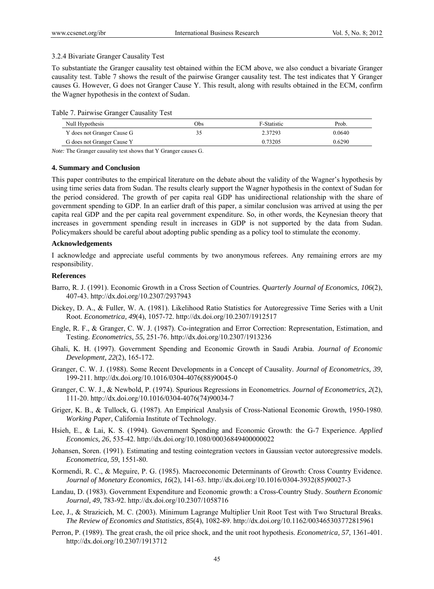## 3.2.4 Bivariate Granger Causality Test

To substantiate the Granger causality test obtained within the ECM above, we also conduct a bivariate Granger causality test. Table 7 shows the result of the pairwise Granger causality test. The test indicates that Y Granger causes G. However, G does not Granger Cause Y. This result, along with results obtained in the ECM, confirm the Wagner hypothesis in the context of Sudan.

| Null Hypothesis            | Obs | F-Statistic | Prob.  |
|----------------------------|-----|-------------|--------|
| Y does not Granger Cause G |     | 2.37293     | 0.0640 |
| G does not Granger Cause Y |     | 0.73205     | 0.6290 |

*Note:* The Granger causality test shows that Y Granger causes G.

#### **4. Summary and Conclusion**

This paper contributes to the empirical literature on the debate about the validity of the Wagner's hypothesis by using time series data from Sudan. The results clearly support the Wagner hypothesis in the context of Sudan for the period considered. The growth of per capita real GDP has unidirectional relationship with the share of government spending to GDP. In an earlier draft of this paper, a similar conclusion was arrived at using the per capita real GDP and the per capita real government expenditure. So, in other words, the Keynesian theory that increases in government spending result in increases in GDP is not supported by the data from Sudan. Policymakers should be careful about adopting public spending as a policy tool to stimulate the economy.

## **Acknowledgements**

I acknowledge and appreciate useful comments by two anonymous referees. Any remaining errors are my responsibility.

## **References**

- Barro, R. J. (1991). Economic Growth in a Cross Section of Countries. *Quarterly Journal of Economics, 106*(2), 407-43. http://dx.doi.org/10.2307/2937943
- Dickey, D. A., & Fuller, W. A. (1981). Likelihood Ratio Statistics for Autoregressive Time Series with a Unit Root. *Econometrica, 49*(4), 1057-72. http://dx.doi.org/10.2307/1912517
- Engle, R. F., & Granger, C. W. J. (1987). Co-integration and Error Correction: Representation, Estimation, and Testing. *Econometrics, 55*, 251-76. http://dx.doi.org/10.2307/1913236
- Ghali, K. H. (1997). Government Spending and Economic Growth in Saudi Arabia. *Journal of Economic Development, 22*(2), 165-172.
- Granger, C. W. J. (1988). Some Recent Developments in a Concept of Causality. *Journal of Econometrics, 39*, 199-211. http://dx.doi.org/10.1016/0304-4076(88)90045-0
- Granger, C. W. J., & Newbold, P. (1974). Spurious Regressions in Econometrics. *Journal of Econometrics, 2*(2), 111-20. http://dx.doi.org/10.1016/0304-4076(74)90034-7
- Griger, K. B., & Tullock, G. (1987). An Empirical Analysis of Cross-National Economic Growth, 1950-1980. *Working Paper*, California Institute of Technology.
- Hsieh, E., & Lai, K. S. (1994). Government Spending and Economic Growth: the G-7 Experience. *Applied Economics, 26*, 535-42. http://dx.doi.org/10.1080/00036849400000022
- Johansen, Soren. (1991). Estimating and testing cointegration vectors in Gaussian vector autoregressive models. *Econometrica, 59*, 1551-80.
- Kormendi, R. C., & Meguire, P. G. (1985). Macroeconomic Determinants of Growth: Cross Country Evidence. *Journal of Monetary Economics, 16*(2), 141-63. http://dx.doi.org/10.1016/0304-3932(85)90027-3
- Landau, D. (1983). Government Expenditure and Economic growth: a Cross-Country Study. *Southern Economic Journal, 49*, 783-92. http://dx.doi.org/10.2307/1058716
- Lee, J., & Strazicich, M. C. (2003). Minimum Lagrange Multiplier Unit Root Test with Two Structural Breaks. *The Review of Economics and Statistics, 85*(4), 1082-89. http://dx.doi.org/10.1162/003465303772815961
- Perron, P. (1989). The great crash, the oil price shock, and the unit root hypothesis. *Econometrica, 57*, 1361-401. http://dx.doi.org/10.2307/1913712